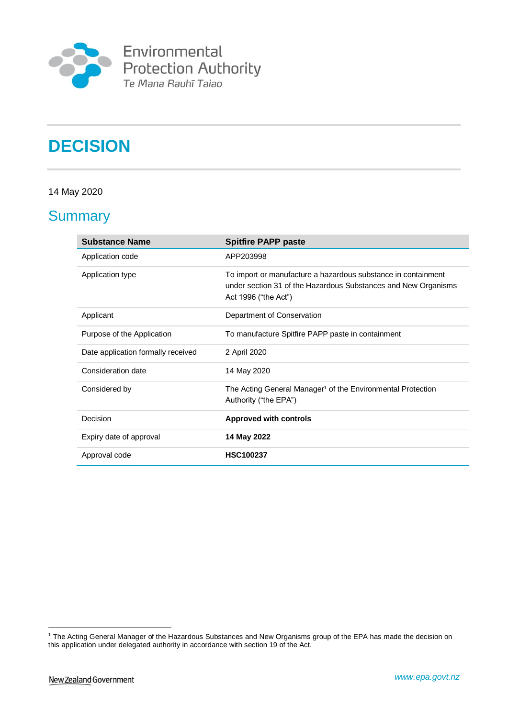

Environmental<br>Protection Authority<br>Te Mana Rauhī Taiao

# **DECISION**

#### 14 May 2020

# **Summary**

| <b>Substance Name</b>              | <b>Spitfire PAPP paste</b>                                                                                                                              |
|------------------------------------|---------------------------------------------------------------------------------------------------------------------------------------------------------|
| Application code                   | APP203998                                                                                                                                               |
| Application type                   | To import or manufacture a hazardous substance in containment<br>under section 31 of the Hazardous Substances and New Organisms<br>Act 1996 ("the Act") |
| Applicant                          | Department of Conservation                                                                                                                              |
| Purpose of the Application         | To manufacture Spitfire PAPP paste in containment                                                                                                       |
| Date application formally received | 2 April 2020                                                                                                                                            |
| Consideration date                 | 14 May 2020                                                                                                                                             |
| Considered by                      | The Acting General Manager <sup>1</sup> of the Environmental Protection<br>Authority ("the EPA")                                                        |
| <b>Decision</b>                    | <b>Approved with controls</b>                                                                                                                           |
| Expiry date of approval            | 14 May 2022                                                                                                                                             |
| Approval code                      | <b>HSC100237</b>                                                                                                                                        |

1

<sup>1</sup> The Acting General Manager of the Hazardous Substances and New Organisms group of the EPA has made the decision on this application under delegated authority in accordance with section 19 of the Act.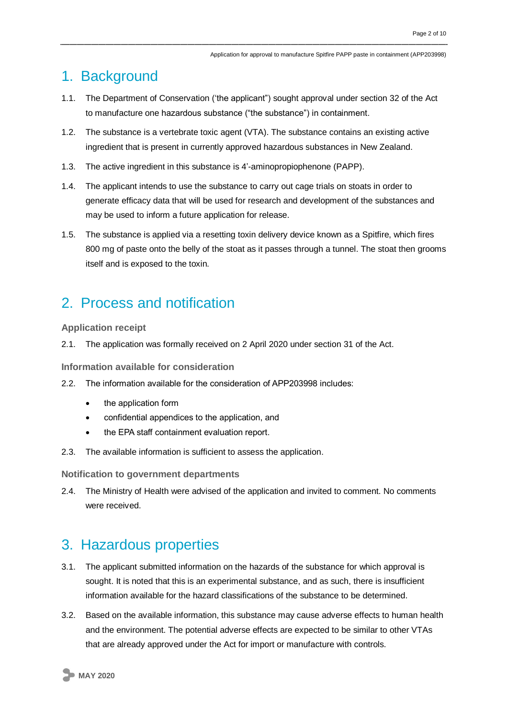# 1. Background

- 1.1. The Department of Conservation ('the applicant") sought approval under section 32 of the Act to manufacture one hazardous substance ("the substance") in containment.
- 1.2. The substance is a vertebrate toxic agent (VTA). The substance contains an existing active ingredient that is present in currently approved hazardous substances in New Zealand.
- 1.3. The active ingredient in this substance is 4'-aminopropiophenone (PAPP).
- 1.4. The applicant intends to use the substance to carry out cage trials on stoats in order to generate efficacy data that will be used for research and development of the substances and may be used to inform a future application for release.
- 1.5. The substance is applied via a resetting toxin delivery device known as a Spitfire, which fires 800 mg of paste onto the belly of the stoat as it passes through a tunnel. The stoat then grooms itself and is exposed to the toxin.

# 2. Process and notification

#### **Application receipt**

2.1. The application was formally received on 2 April 2020 under section 31 of the Act.

**Information available for consideration**

- 2.2. The information available for the consideration of APP203998 includes:
	- the application form
	- confidential appendices to the application, and
	- the EPA staff containment evaluation report.
- 2.3. The available information is sufficient to assess the application.

**Notification to government departments**

2.4. The Ministry of Health were advised of the application and invited to comment. No comments were received.

### 3. Hazardous properties

- 3.1. The applicant submitted information on the hazards of the substance for which approval is sought. It is noted that this is an experimental substance, and as such, there is insufficient information available for the hazard classifications of the substance to be determined.
- 3.2. Based on the available information, this substance may cause adverse effects to human health and the environment. The potential adverse effects are expected to be similar to other VTAs that are already approved under the Act for import or manufacture with controls.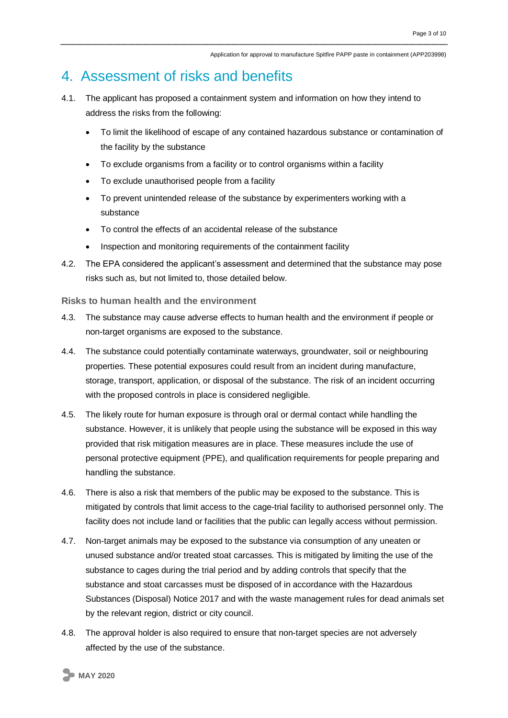### 4. Assessment of risks and benefits

- 4.1. The applicant has proposed a containment system and information on how they intend to address the risks from the following:
	- To limit the likelihood of escape of any contained hazardous substance or contamination of the facility by the substance
	- To exclude organisms from a facility or to control organisms within a facility
	- To exclude unauthorised people from a facility
	- To prevent unintended release of the substance by experimenters working with a substance
	- To control the effects of an accidental release of the substance
	- Inspection and monitoring requirements of the containment facility
- 4.2. The EPA considered the applicant's assessment and determined that the substance may pose risks such as, but not limited to, those detailed below.

**Risks to human health and the environment**

- 4.3. The substance may cause adverse effects to human health and the environment if people or non-target organisms are exposed to the substance.
- 4.4. The substance could potentially contaminate waterways, groundwater, soil or neighbouring properties. These potential exposures could result from an incident during manufacture, storage, transport, application, or disposal of the substance. The risk of an incident occurring with the proposed controls in place is considered negligible.
- 4.5. The likely route for human exposure is through oral or dermal contact while handling the substance. However, it is unlikely that people using the substance will be exposed in this way provided that risk mitigation measures are in place. These measures include the use of personal protective equipment (PPE), and qualification requirements for people preparing and handling the substance.
- 4.6. There is also a risk that members of the public may be exposed to the substance. This is mitigated by controls that limit access to the cage-trial facility to authorised personnel only. The facility does not include land or facilities that the public can legally access without permission.
- 4.7. Non-target animals may be exposed to the substance via consumption of any uneaten or unused substance and/or treated stoat carcasses. This is mitigated by limiting the use of the substance to cages during the trial period and by adding controls that specify that the substance and stoat carcasses must be disposed of in accordance with the Hazardous Substances (Disposal) Notice 2017 and with the waste management rules for dead animals set by the relevant region, district or city council.
- 4.8. The approval holder is also required to ensure that non-target species are not adversely affected by the use of the substance.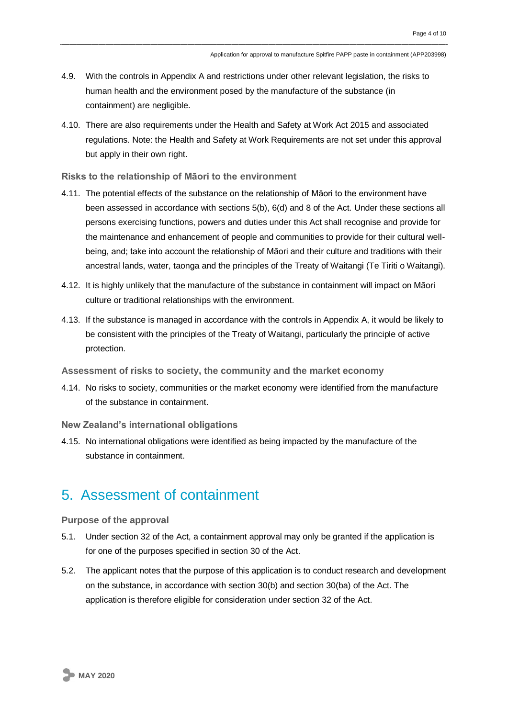- 4.9. With the controls in Appendix A and restrictions under other relevant legislation, the risks to human health and the environment posed by the manufacture of the substance (in containment) are negligible.
- 4.10. There are also requirements under the Health and Safety at Work Act 2015 and associated regulations. Note: the Health and Safety at Work Requirements are not set under this approval but apply in their own right.

**Risks to the relationship of Māori to the environment**

- 4.11. The potential effects of the substance on the relationship of Māori to the environment have been assessed in accordance with sections 5(b), 6(d) and 8 of the Act. Under these sections all persons exercising functions, powers and duties under this Act shall recognise and provide for the maintenance and enhancement of people and communities to provide for their cultural wellbeing, and; take into account the relationship of Māori and their culture and traditions with their ancestral lands, water, taonga and the principles of the Treaty of Waitangi (Te Tiriti o Waitangi).
- 4.12. It is highly unlikely that the manufacture of the substance in containment will impact on Māori culture or traditional relationships with the environment.
- 4.13. If the substance is managed in accordance with the controls in Appendix A, it would be likely to be consistent with the principles of the Treaty of Waitangi, particularly the principle of active protection.

**Assessment of risks to society, the community and the market economy**

- 4.14. No risks to society, communities or the market economy were identified from the manufacture of the substance in containment.
- **New Zealand's international obligations**
- 4.15. No international obligations were identified as being impacted by the manufacture of the substance in containment.

### 5. Assessment of containment

**Purpose of the approval**

- 5.1. Under section 32 of the Act, a containment approval may only be granted if the application is for one of the purposes specified in section 30 of the Act.
- 5.2. The applicant notes that the purpose of this application is to conduct research and development on the substance, in accordance with section 30(b) and section 30(ba) of the Act. The application is therefore eligible for consideration under section 32 of the Act.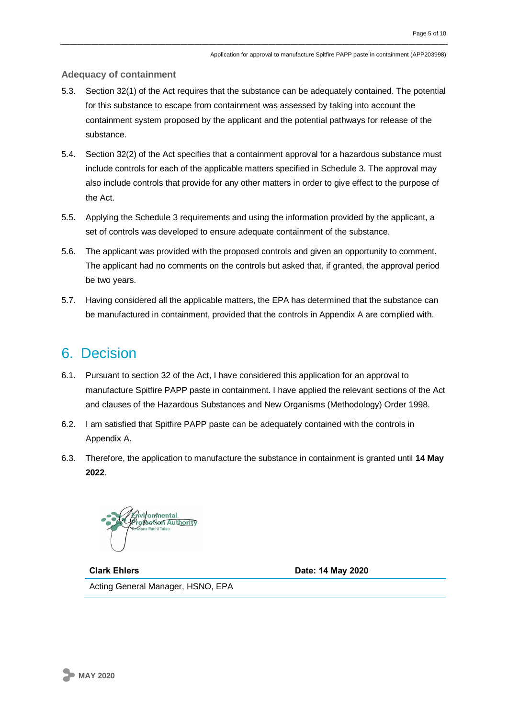#### **Adequacy of containment**

- 5.3. Section 32(1) of the Act requires that the substance can be adequately contained. The potential for this substance to escape from containment was assessed by taking into account the containment system proposed by the applicant and the potential pathways for release of the substance.
- 5.4. Section 32(2) of the Act specifies that a containment approval for a hazardous substance must include controls for each of the applicable matters specified in Schedule 3. The approval may also include controls that provide for any other matters in order to give effect to the purpose of the Act.
- 5.5. Applying the Schedule 3 requirements and using the information provided by the applicant, a set of controls was developed to ensure adequate containment of the substance.
- 5.6. The applicant was provided with the proposed controls and given an opportunity to comment. The applicant had no comments on the controls but asked that, if granted, the approval period be two years.
- 5.7. Having considered all the applicable matters, the EPA has determined that the substance can be manufactured in containment, provided that the controls in Appendix A are complied with.

### 6. Decision

- 6.1. Pursuant to section 32 of the Act, I have considered this application for an approval to manufacture Spitfire PAPP paste in containment. I have applied the relevant sections of the Act and clauses of the Hazardous Substances and New Organisms (Methodology) Order 1998.
- 6.2. I am satisfied that Spitfire PAPP paste can be adequately contained with the controls in Appendix A.
- 6.3. Therefore, the application to manufacture the substance in containment is granted until **14 May 2022**.

vironmental of Service Authority

**Clark Ehlers Date: 14 May 2020** Acting General Manager, HSNO, EPA

**MAY 2020**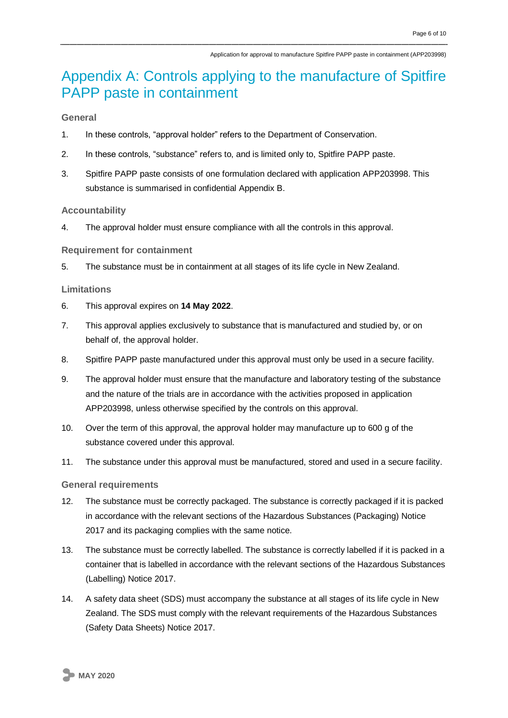# Appendix A: Controls applying to the manufacture of Spitfire PAPP paste in containment

**General** 

- 1. In these controls, "approval holder" refers to the Department of Conservation.
- 2. In these controls, "substance" refers to, and is limited only to, Spitfire PAPP paste.
- 3. Spitfire PAPP paste consists of one formulation declared with application APP203998. This substance is summarised in confidential Appendix B.

#### **Accountability**

4. The approval holder must ensure compliance with all the controls in this approval.

#### **Requirement for containment**

5. The substance must be in containment at all stages of its life cycle in New Zealand.

#### **Limitations**

- 6. This approval expires on **14 May 2022**.
- 7. This approval applies exclusively to substance that is manufactured and studied by, or on behalf of, the approval holder.
- 8. Spitfire PAPP paste manufactured under this approval must only be used in a secure facility.
- 9. The approval holder must ensure that the manufacture and laboratory testing of the substance and the nature of the trials are in accordance with the activities proposed in application APP203998, unless otherwise specified by the controls on this approval.
- 10. Over the term of this approval, the approval holder may manufacture up to 600 g of the substance covered under this approval.
- 11. The substance under this approval must be manufactured, stored and used in a secure facility.

#### **General requirements**

- 12. The substance must be correctly packaged. The substance is correctly packaged if it is packed in accordance with the relevant sections of the Hazardous Substances (Packaging) Notice 2017 and its packaging complies with the same notice.
- 13. The substance must be correctly labelled. The substance is correctly labelled if it is packed in a container that is labelled in accordance with the relevant sections of the Hazardous Substances (Labelling) Notice 2017.
- 14. A safety data sheet (SDS) must accompany the substance at all stages of its life cycle in New Zealand. The SDS must comply with the relevant requirements of the Hazardous Substances (Safety Data Sheets) Notice 2017.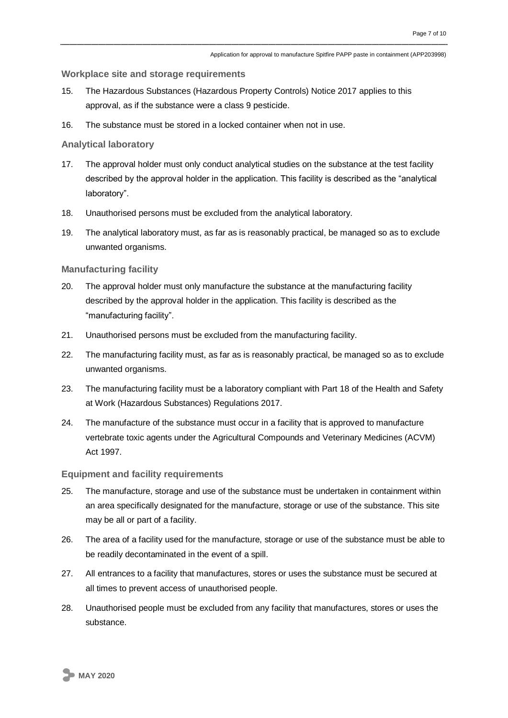#### **Workplace site and storage requirements**

- 15. The Hazardous Substances (Hazardous Property Controls) Notice 2017 applies to this approval, as if the substance were a class 9 pesticide.
- 16. The substance must be stored in a locked container when not in use.

#### **Analytical laboratory**

- 17. The approval holder must only conduct analytical studies on the substance at the test facility described by the approval holder in the application. This facility is described as the "analytical laboratory".
- 18. Unauthorised persons must be excluded from the analytical laboratory.
- 19. The analytical laboratory must, as far as is reasonably practical, be managed so as to exclude unwanted organisms.

#### **Manufacturing facility**

- 20. The approval holder must only manufacture the substance at the manufacturing facility described by the approval holder in the application. This facility is described as the "manufacturing facility".
- 21. Unauthorised persons must be excluded from the manufacturing facility.
- 22. The manufacturing facility must, as far as is reasonably practical, be managed so as to exclude unwanted organisms.
- 23. The manufacturing facility must be a laboratory compliant with Part 18 of the Health and Safety at Work (Hazardous Substances) Regulations 2017.
- 24. The manufacture of the substance must occur in a facility that is approved to manufacture vertebrate toxic agents under the Agricultural Compounds and Veterinary Medicines (ACVM) Act 1997.

#### **Equipment and facility requirements**

- 25. The manufacture, storage and use of the substance must be undertaken in containment within an area specifically designated for the manufacture, storage or use of the substance. This site may be all or part of a facility.
- 26. The area of a facility used for the manufacture, storage or use of the substance must be able to be readily decontaminated in the event of a spill.
- 27. All entrances to a facility that manufactures, stores or uses the substance must be secured at all times to prevent access of unauthorised people.
- 28. Unauthorised people must be excluded from any facility that manufactures, stores or uses the substance.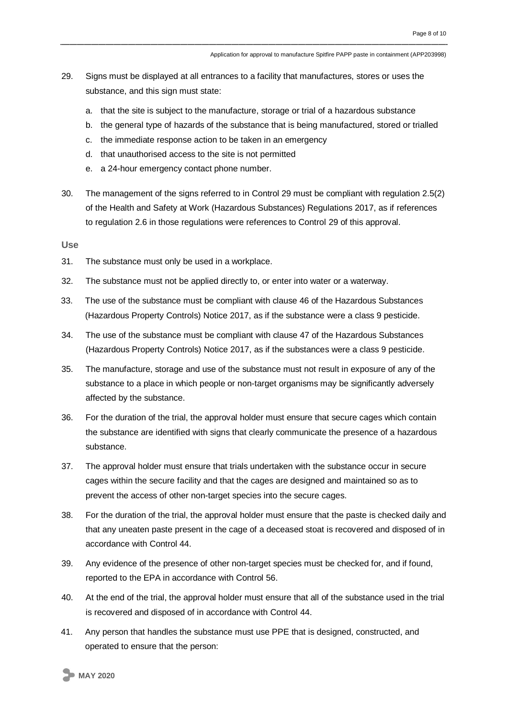- 29. Signs must be displayed at all entrances to a facility that manufactures, stores or uses the substance, and this sign must state:
	- a. that the site is subject to the manufacture, storage or trial of a hazardous substance
	- b. the general type of hazards of the substance that is being manufactured, stored or trialled
	- c. the immediate response action to be taken in an emergency
	- d. that unauthorised access to the site is not permitted
	- e. a 24-hour emergency contact phone number.
- 30. The management of the signs referred to in Control 29 must be compliant with regulation 2.5(2) of the Health and Safety at Work (Hazardous Substances) Regulations 2017, as if references to regulation 2.6 in those regulations were references to Control 29 of this approval.

**Use**

- 31. The substance must only be used in a workplace.
- 32. The substance must not be applied directly to, or enter into water or a waterway.
- 33. The use of the substance must be compliant with clause 46 of the Hazardous Substances (Hazardous Property Controls) Notice 2017, as if the substance were a class 9 pesticide.
- 34. The use of the substance must be compliant with clause 47 of the Hazardous Substances (Hazardous Property Controls) Notice 2017, as if the substances were a class 9 pesticide.
- 35. The manufacture, storage and use of the substance must not result in exposure of any of the substance to a place in which people or non-target organisms may be significantly adversely affected by the substance.
- 36. For the duration of the trial, the approval holder must ensure that secure cages which contain the substance are identified with signs that clearly communicate the presence of a hazardous substance.
- 37. The approval holder must ensure that trials undertaken with the substance occur in secure cages within the secure facility and that the cages are designed and maintained so as to prevent the access of other non-target species into the secure cages.
- 38. For the duration of the trial, the approval holder must ensure that the paste is checked daily and that any uneaten paste present in the cage of a deceased stoat is recovered and disposed of in accordance with Control 44.
- 39. Any evidence of the presence of other non-target species must be checked for, and if found, reported to the EPA in accordance with Control 56.
- 40. At the end of the trial, the approval holder must ensure that all of the substance used in the trial is recovered and disposed of in accordance with Control 44.
- 41. Any person that handles the substance must use PPE that is designed, constructed, and operated to ensure that the person: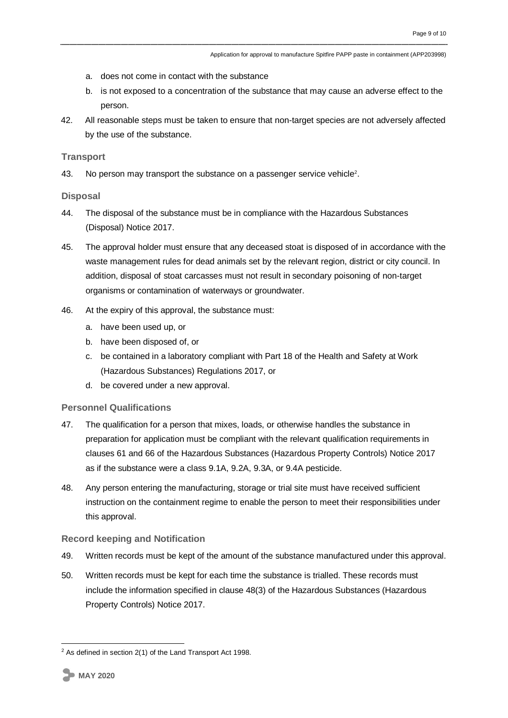- a. does not come in contact with the substance
- b. is not exposed to a concentration of the substance that may cause an adverse effect to the person.
- 42. All reasonable steps must be taken to ensure that non-target species are not adversely affected by the use of the substance.

#### **Transport**

43. No person may transport the substance on a passenger service vehicle<sup>2</sup>.

#### **Disposal**

- 44. The disposal of the substance must be in compliance with the Hazardous Substances (Disposal) Notice 2017.
- 45. The approval holder must ensure that any deceased stoat is disposed of in accordance with the waste management rules for dead animals set by the relevant region, district or city council. In addition, disposal of stoat carcasses must not result in secondary poisoning of non-target organisms or contamination of waterways or groundwater.
- 46. At the expiry of this approval, the substance must:
	- a. have been used up, or
	- b. have been disposed of, or
	- c. be contained in a laboratory compliant with Part 18 of the Health and Safety at Work (Hazardous Substances) Regulations 2017, or
	- d. be covered under a new approval.

#### **Personnel Qualifications**

- 47. The qualification for a person that mixes, loads, or otherwise handles the substance in preparation for application must be compliant with the relevant qualification requirements in clauses 61 and 66 of the Hazardous Substances (Hazardous Property Controls) Notice 2017 as if the substance were a class 9.1A, 9.2A, 9.3A, or 9.4A pesticide.
- 48. Any person entering the manufacturing, storage or trial site must have received sufficient instruction on the containment regime to enable the person to meet their responsibilities under this approval.

#### **Record keeping and Notification**

- 49. Written records must be kept of the amount of the substance manufactured under this approval.
- 50. Written records must be kept for each time the substance is trialled. These records must include the information specified in clause 48(3) of the Hazardous Substances (Hazardous Property Controls) Notice 2017.

1

 $2$  As defined in section 2(1) of the Land Transport Act 1998.